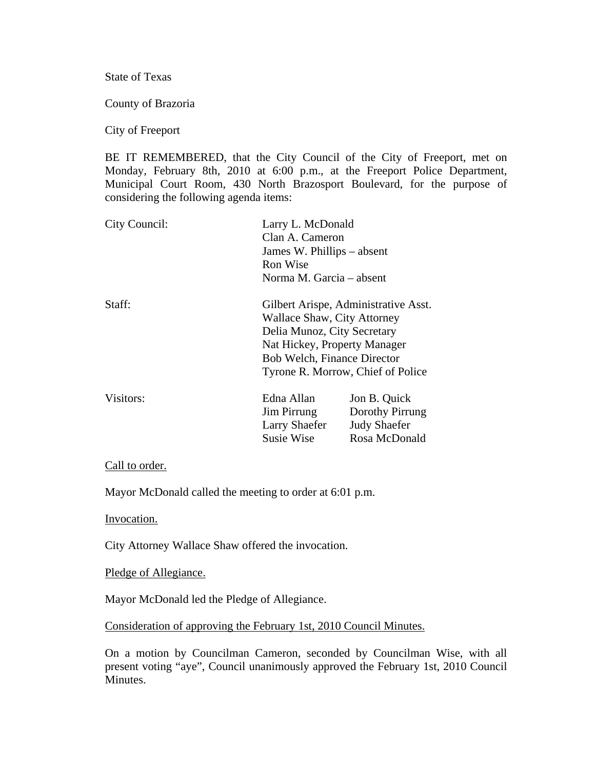State of Texas

County of Brazoria

City of Freeport

BE IT REMEMBERED, that the City Council of the City of Freeport, met on Monday, February 8th, 2010 at 6:00 p.m., at the Freeport Police Department, Municipal Court Room, 430 North Brazosport Boulevard, for the purpose of considering the following agenda items:

| City Council: | Larry L. McDonald<br>Clan A. Cameron<br>James W. Phillips – absent<br>Ron Wise<br>Norma M. Garcia – absent |                                                                                                           |  |
|---------------|------------------------------------------------------------------------------------------------------------|-----------------------------------------------------------------------------------------------------------|--|
| Staff:        | Wallace Shaw, City Attorney<br>Delia Munoz, City Secretary<br><b>Bob Welch, Finance Director</b>           | Gilbert Arispe, Administrative Asst.<br>Nat Hickey, Property Manager<br>Tyrone R. Morrow, Chief of Police |  |
| Visitors:     | Edna Allan<br>Jim Pirrung<br><b>Larry Shaefer</b><br><b>Susie Wise</b>                                     | Jon B. Quick<br>Dorothy Pirrung<br><b>Judy Shaefer</b><br>Rosa McDonald                                   |  |

## Call to order.

Mayor McDonald called the meeting to order at 6:01 p.m.

Invocation.

City Attorney Wallace Shaw offered the invocation.

Pledge of Allegiance.

Mayor McDonald led the Pledge of Allegiance.

Consideration of approving the February 1st, 2010 Council Minutes.

On a motion by Councilman Cameron, seconded by Councilman Wise, with all present voting "aye", Council unanimously approved the February 1st, 2010 Council Minutes.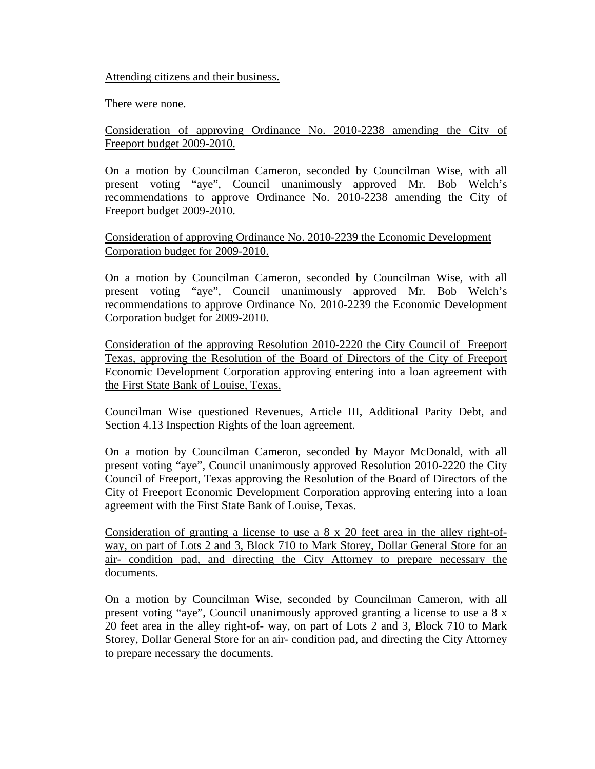Attending citizens and their business.

There were none.

Consideration of approving Ordinance No. 2010-2238 amending the City of Freeport budget 2009-2010.

On a motion by Councilman Cameron, seconded by Councilman Wise, with all present voting "aye", Council unanimously approved Mr. Bob Welch's recommendations to approve Ordinance No. 2010-2238 amending the City of Freeport budget 2009-2010.

Consideration of approving Ordinance No. 2010-2239 the Economic Development Corporation budget for 2009-2010.

On a motion by Councilman Cameron, seconded by Councilman Wise, with all present voting "aye", Council unanimously approved Mr. Bob Welch's recommendations to approve Ordinance No. 2010-2239 the Economic Development Corporation budget for 2009-2010.

Consideration of the approving Resolution 2010-2220 the City Council of Freeport Texas, approving the Resolution of the Board of Directors of the City of Freeport Economic Development Corporation approving entering into a loan agreement with the First State Bank of Louise, Texas.

Councilman Wise questioned Revenues, Article III, Additional Parity Debt, and Section 4.13 Inspection Rights of the loan agreement.

On a motion by Councilman Cameron, seconded by Mayor McDonald, with all present voting "aye", Council unanimously approved Resolution 2010-2220 the City Council of Freeport, Texas approving the Resolution of the Board of Directors of the City of Freeport Economic Development Corporation approving entering into a loan agreement with the First State Bank of Louise, Texas.

Consideration of granting a license to use a 8 x 20 feet area in the alley right-ofway, on part of Lots 2 and 3, Block 710 to Mark Storey, Dollar General Store for an air- condition pad, and directing the City Attorney to prepare necessary the documents.

On a motion by Councilman Wise, seconded by Councilman Cameron, with all present voting "aye", Council unanimously approved granting a license to use a 8 x 20 feet area in the alley right-of- way, on part of Lots 2 and 3, Block 710 to Mark Storey, Dollar General Store for an air- condition pad, and directing the City Attorney to prepare necessary the documents.